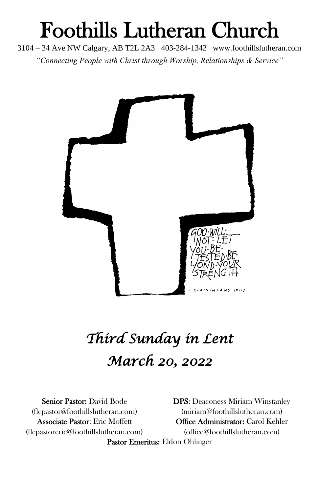# Foothills Lutheran Church

3104 – 34 Ave NW Calgary, AB T2L 2A3 403-284-1342 www.foothillslutheran.com *"Connecting People with Christ through Worship, Relationships & Service"*



# *Third Sunday in Lent March 20, 2022*

(flcpastoreric@foothillslutheran.com) [\(office@foothillslutheran.com\)](mailto:office@foothillslutheran.com)

Senior Pastor: David Bode DPS: Deaconess Miriam Winstanley [\(flcpastor@foothillslutheran.com\)](mailto:flcpastor@foothillslutheran.com) [\(miriam@foothillslutheran.com\)](mailto:miriam@foothillslutheran.com) Associate Pastor: Eric Moffett **Office Administrator: Carol Kehler** Pastor Emeritus: Eldon Ohlinger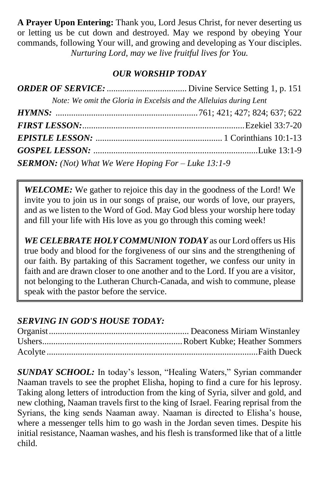**A Prayer Upon Entering:** Thank you, Lord Jesus Christ, for never deserting us or letting us be cut down and destroyed. May we respond by obeying Your commands, following Your will, and growing and developing as Your disciples. *Nurturing Lord, may we live fruitful lives for You.*

## *OUR WORSHIP TODAY*

|                                                             | Note: We omit the Gloria in Excelsis and the Alleluias during Lent |
|-------------------------------------------------------------|--------------------------------------------------------------------|
|                                                             |                                                                    |
|                                                             |                                                                    |
|                                                             |                                                                    |
|                                                             |                                                                    |
| <b>SERMON:</b> (Not) What We Were Hoping For $-Luke$ 13:1-9 |                                                                    |

**WELCOME:** We gather to rejoice this day in the goodness of the Lord! We invite you to join us in our songs of praise, our words of love, our prayers, and as we listen to the Word of God. May God bless your worship here today and fill your life with His love as you go through this coming week!

*WE CELEBRATE HOLY COMMUNION TODAY* as our Lord offers us His true body and blood for the forgiveness of our sins and the strengthening of our faith. By partaking of this Sacrament together, we confess our unity in faith and are drawn closer to one another and to the Lord. If you are a visitor, not belonging to the Lutheran Church-Canada, and wish to commune, please speak with the pastor before the service.

# *SERVING IN GOD'S HOUSE TODAY:*

*SUNDAY SCHOOL:* In today's lesson, "Healing Waters," Syrian commander Naaman travels to see the prophet Elisha, hoping to find a cure for his leprosy. Taking along letters of introduction from the king of Syria, silver and gold, and new clothing, Naaman travels first to the king of Israel. Fearing reprisal from the Syrians, the king sends Naaman away. Naaman is directed to Elisha's house, where a messenger tells him to go wash in the Jordan seven times. Despite his initial resistance, Naaman washes, and his flesh is transformed like that of a little child.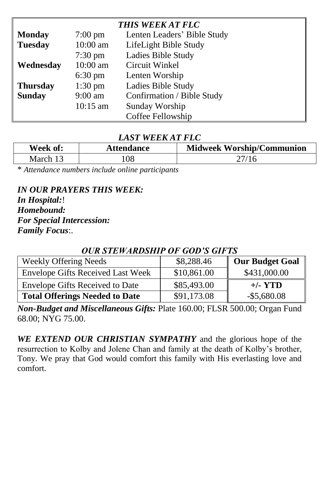| <b>THIS WEEK AT FLC</b> |                    |                             |  |
|-------------------------|--------------------|-----------------------------|--|
| <b>Monday</b>           | $7:00 \text{ pm}$  | Lenten Leaders' Bible Study |  |
| <b>Tuesday</b>          | 10:00 am           | LifeLight Bible Study       |  |
|                         | $7:30 \text{ pm}$  | <b>Ladies Bible Study</b>   |  |
| Wednesday               | 10:00 am           | Circuit Winkel              |  |
|                         | $6:30 \text{ pm}$  | Lenten Worship              |  |
| <b>Thursday</b>         | $1:30 \text{ pm}$  | <b>Ladies Bible Study</b>   |  |
| <b>Sunday</b>           | $9:00$ am          | Confirmation / Bible Study  |  |
|                         | $10:15 \text{ am}$ | Sunday Worship              |  |
|                         |                    | Coffee Fellowship           |  |

#### *LAST WEEK AT FLC*

| Week of: | <b>Attendance</b> | <b>Midweek Worship/Communion</b> |
|----------|-------------------|----------------------------------|
| March 13 | l 08              | 27/16                            |

\* *Attendance numbers include online participants*

*IN OUR PRAYERS THIS WEEK: In Hospital:*! *Homebound: For Special Intercession: Family Focus*:.

# Weekly Offering Needs **\$8,288.46** Our Budget Goal Envelope Gifts Received Last Week | \$10,861.00 \$431,000.00 Envelope Gifts Received to Date  $\vert$  \$85,493.00  $\vert$  +/- **YTD Total Offerings Needed to Date**  $$91,173.08$  -\$5,680.08

### *OUR STEWARDSHIP OF GOD'S GIFTS*

*Non-Budget and Miscellaneous Gifts:* Plate 160.00; FLSR 500.00; Organ Fund 68.00; NYG 75.00.

*WE EXTEND OUR CHRISTIAN SYMPATHY* and the glorious hope of the resurrection to Kolby and Jolene Chan and family at the death of Kolby's brother, Tony. We pray that God would comfort this family with His everlasting love and comfort.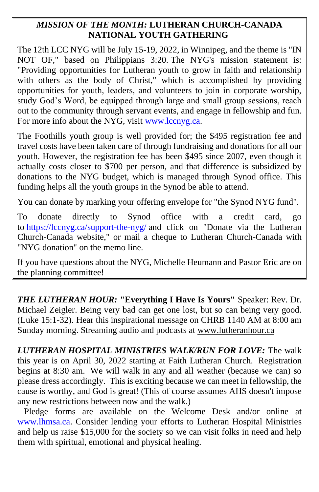#### *MISSION OF THE MONTH:* **LUTHERAN CHURCH-CANADA NATIONAL YOUTH GATHERING**

The 12th LCC NYG will be July 15-19, 2022, in Winnipeg, and the theme is "IN NOT OF," based on Philippians 3:20. The NYG's mission statement is: "Providing opportunities for Lutheran youth to grow in faith and relationship with others as the body of Christ," which is accomplished by providing opportunities for youth, leaders, and volunteers to join in corporate worship, study God's Word, be equipped through large and small group sessions, reach out to the community through servant events, and engage in fellowship and fun. For more info about the NYG, visit [www.lccnyg.ca.](http://www.lccnyg.ca/)

The Foothills youth group is well provided for; the \$495 registration fee and travel costs have been taken care of through fundraising and donations for all our youth. However, the registration fee has been \$495 since 2007, even though it actually costs closer to \$700 per person, and that difference is subsidized by donations to the NYG budget, which is managed through Synod office. This funding helps all the youth groups in the Synod be able to attend.

You can donate by marking your offering envelope for "the Synod NYG fund".

To donate directly to Synod office with a credit card, go to <https://lccnyg.ca/support-the-nyg/> and click on "Donate via the Lutheran Church-Canada website," or mail a cheque to Lutheran Church-Canada with "NYG donation" on the memo line.

If you have questions about the NYG, Michelle Heumann and Pastor Eric are on the planning committee!

*THE LUTHERAN HOUR:* **"Everything I Have Is Yours"** Speaker: Rev. Dr. Michael Zeigler. Being very bad can get one lost, but so can being very good. (Luke 15:1-32). Hear this inspirational message on CHRB 1140 AM at 8:00 am Sunday morning. Streaming audio and podcasts at [www.lutheranhour.ca](http://www.lutheranhour.ca/)

*LUTHERAN HOSPITAL MINISTRIES WALK/RUN FOR LOVE:* The walk this year is on April 30, 2022 starting at Faith Lutheran Church. Registration begins at 8:30 am. We will walk in any and all weather (because we can) so please dress accordingly. This is exciting because we can meet in fellowship, the cause is worthy, and God is great! (This of course assumes AHS doesn't impose any new restrictions between now and the walk.)

 Pledge forms are available on the Welcome Desk and/or online at [www.lhmsa.ca.](http://www.lhmsa.ca/) Consider lending your efforts to Lutheran Hospital Ministries and help us raise \$15,000 for the society so we can visit folks in need and help them with spiritual, emotional and physical healing.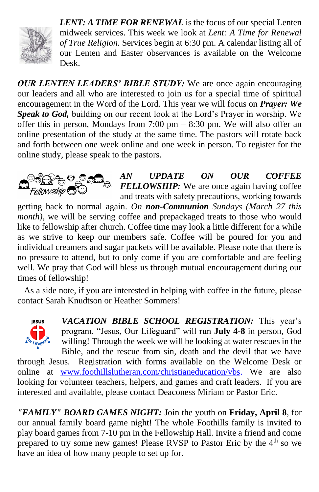

*LENT: A TIME FOR RENEWAL* is the focus of our special Lenten midweek services. This week we look at *Lent: A Time for Renewal of True Religion.* Services begin at 6:30 pm. A calendar listing all of our Lenten and Easter observances is available on the Welcome Desk.

*OUR LENTEN LEADERS' BIBLE STUDY:* We are once again encouraging our leaders and all who are interested to join us for a special time of spiritual encouragement in the Word of the Lord. This year we will focus on *Prayer: We Speak to God,* building on our recent look at the Lord's Prayer in worship. We offer this in person, Mondays from  $7:00 \text{ pm} - 8:30 \text{ pm}$ . We will also offer an online presentation of the study at the same time. The pastors will rotate back and forth between one week online and one week in person. To register for the online study, please speak to the pastors.



*AN UPDATE ON OUR COFFEE FELLOWSHIP:* We are once again having coffee and treats with safety precautions, working towards

getting back to normal again. *On non-Communion Sundays (March 27 this month*), we will be serving coffee and prepackaged treats to those who would like to fellowship after church. Coffee time may look a little different for a while as we strive to keep our members safe. Coffee will be poured for you and individual creamers and sugar packets will be available. Please note that there is no pressure to attend, but to only come if you are comfortable and are feeling well. We pray that God will bless us through mutual encouragement during our times of fellowship!

 As a side note, if you are interested in helping with coffee in the future, please contact Sarah Knudtson or Heather Sommers!



*VACATION BIBLE SCHOOL REGISTRATION:* This year's program, "Jesus, Our Lifeguard" will run **July 4-8** in person, God willing! Through the week we will be looking at water rescues in the Bible, and the rescue from sin, death and the devil that we have

through Jesus. Registration with forms available on the Welcome Desk or online at [www.foothillslutheran.com/christianeducation/vbs.](http://www.foothillslutheran.com/christianeducation/vbs) We are also looking for volunteer teachers, helpers, and games and craft leaders. If you are interested and available, please contact Deaconess Miriam or Pastor Eric.

*"FAMILY" BOARD GAMES NIGHT:* Join the youth on **Friday, April 8**, for our annual family board game night! The whole Foothills family is invited to play board games from 7-10 pm in the Fellowship Hall. Invite a friend and come prepared to try some new games! Please RVSP to Pastor Eric by the 4<sup>th</sup> so we have an idea of how many people to set up for.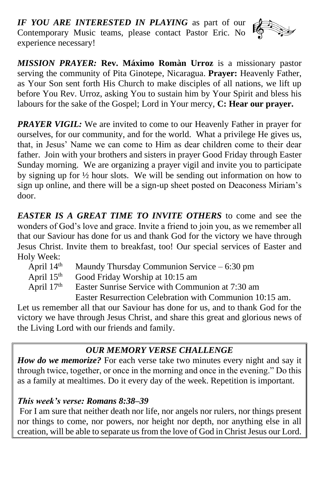*IF YOU ARE INTERESTED IN PLAYING* as part of our Contemporary Music teams, please contact Pastor Eric. No experience necessary!



*MISSION PRAYER:* **Rev. Máximo Romàn Urroz** is a missionary pastor serving the community of Pita Ginotepe, Nicaragua. **Prayer:** Heavenly Father, as Your Son sent forth His Church to make disciples of all nations, we lift up before You Rev. Urroz, asking You to sustain him by Your Spirit and bless his labours for the sake of the Gospel; Lord in Your mercy, **C: Hear our prayer.**

*PRAYER VIGIL:* We are invited to come to our Heavenly Father in prayer for ourselves, for our community, and for the world. What a privilege He gives us, that, in Jesus' Name we can come to Him as dear children come to their dear father. Join with your brothers and sisters in prayer Good Friday through Easter Sunday morning. We are organizing a prayer vigil and invite you to participate by signing up for ½ hour slots. We will be sending out information on how to sign up online, and there will be a sign-up sheet posted on Deaconess Miriam's door.

*EASTER IS A GREAT TIME TO INVITE OTHERS* to come and see the wonders of God's love and grace. Invite a friend to join you, as we remember all that our Saviour has done for us and thank God for the victory we have through Jesus Christ. Invite them to breakfast, too! Our special services of Easter and Holy Week:

| April $14th$ | Maundy Thursday Communion Service $-6:30$ pm             |
|--------------|----------------------------------------------------------|
| April $15th$ | Good Friday Worship at 10:15 am                          |
| April $17th$ | Easter Sunrise Service with Communion at 7:30 am         |
|              | Easter Resurrection Celebration with Communion 10:15 am. |

Let us remember all that our Saviour has done for us, and to thank God for the victory we have through Jesus Christ, and share this great and glorious news of the Living Lord with our friends and family.

# *OUR MEMORY VERSE CHALLENGE*

*How do we memorize?* For each verse take two minutes every night and say it through twice, together, or once in the morning and once in the evening." Do this as a family at mealtimes. Do it every day of the week. Repetition is important.

### *This week's verse: Romans 8:38–39*

For I am sure that neither death nor life, nor angels nor rulers, nor things present nor things to come, nor powers, nor height nor depth, nor anything else in all creation, will be able to separate us from the love of God in Christ Jesus our Lord.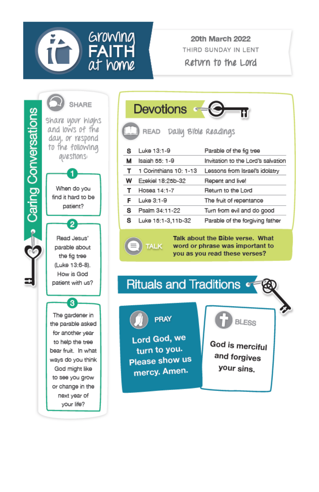

**20th March 2022** THIRD SUNDAY IN LENT Return to the Lord





Talk about the Bible verse. What word or phrase was important to you as you read these verses?





**TALK** 

Lord God, we turn to you. Please show us mercy. Amen.



God is merciful and forgives your sins.